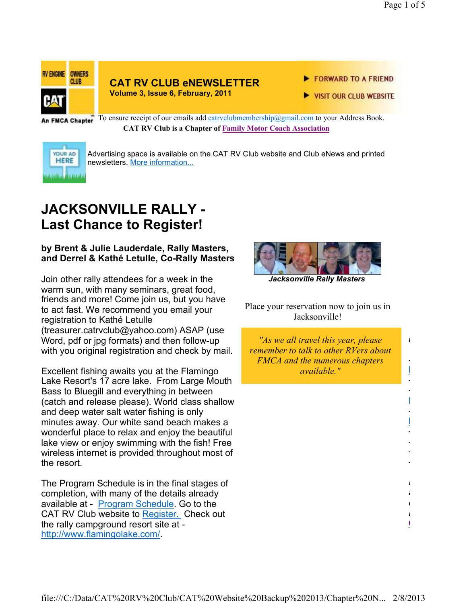*In This issue*

Discussion Group of MP

*Need Club Logo Merchandise? Dick and Joyce Jones can get it to you quickly by clicking on the following* 

**CAT RV Club Shopping Cart**

Register

Program

*link:* 

-

- -

-

- - - -



#### **CAT RV CLUB eNEWSLETTER Volume 3, Issue 6, February, 2011**

FORWARD TO A FRIEND

VISIT OUR CLUB WEBSITE

An FMCA Chapter To ensure receipt of our emails add catrvclubmembership@gmail.com to your Address Book. **CAT RV Club is a Chapter of Family Motor Coach Association** 



Advertising space is available on the CAT RV Club website and Club eNews and printed newsletters. More information...

# **JACKSONVILLE RALLY - Last Chance to Register!**

## **by Brent & Julie Lauderdale, Rally Masters, and Derrel & Kathé Letulle, Co-Rally Masters**

Join other rally attendees for a week in the warm sun, with many seminars, great food, friends and more! Come join us, but you have to act fast. We recommend you email your registration to Kathé Letulle (treasurer.catrvclub@yahoo.com) ASAP (use Word, pdf or jpg formats) and then follow-up with you original registration and check by mail.

Excellent fishing awaits you at the Flamingo Lake Resort's 17 acre lake. From Large Mouth Bass to Bluegill and everything in between (catch and release please). World class shallow and deep water salt water fishing is only minutes away. Our white sand beach makes a wonderful place to relax and enjoy the beautiful lake view or enjoy swimming with the fish! Free wireless internet is provided throughout most of the resort.

The Program Schedule is in the final stages of completion, with many of the details already available at - Program Schedule. Go to the CAT RV Club website to Register. Check out the rally campground resort site at http://www.flamingolake.com/.



*Jacksonville Rally Masters*

Place your reservation now to join us in Jacksonville!

*"As we all travel this year, please remember to talk to other RVers about FMCA and the numerous chapters available."*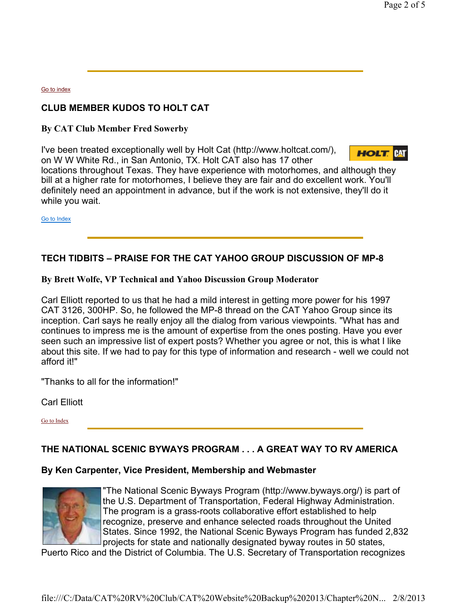Go to index

# **CLUB MEMBER KUDOS TO HOLT CAT**

**By CAT Club Member Fred Sowerby**

I've been treated exceptionally well by Holt Cat (http://www.holtcat.com/), on W W White Rd., in San Antonio, TX. Holt CAT also has 17 other



locations throughout Texas. They have experience with motorhomes, and although they bill at a higher rate for motorhomes, I believe they are fair and do excellent work. You'll definitely need an appointment in advance, but if the work is not extensive, they'll do it while you wait.

Go to Index

# **TECH TIDBITS – PRAISE FOR THE CAT YAHOO GROUP DISCUSSION OF MP-8**

#### **By Brett Wolfe, VP Technical and Yahoo Discussion Group Moderator**

Carl Elliott reported to us that he had a mild interest in getting more power for his 1997 CAT 3126, 300HP. So, he followed the MP-8 thread on the CAT Yahoo Group since its inception. Carl says he really enjoy all the dialog from various viewpoints. "What has and continues to impress me is the amount of expertise from the ones posting. Have you ever seen such an impressive list of expert posts? Whether you agree or not, this is what I like about this site. If we had to pay for this type of information and research - well we could not afford it!"

"Thanks to all for the information!"

Carl Elliott

Go to Index

# **THE NATIONAL SCENIC BYWAYS PROGRAM . . . A GREAT WAY TO RV AMERICA**

#### **By Ken Carpenter, Vice President, Membership and Webmaster**



"The National Scenic Byways Program (http://www.byways.org/) is part of the U.S. Department of Transportation, Federal Highway Administration. The program is a grass-roots collaborative effort established to help recognize, preserve and enhance selected roads throughout the United States. Since 1992, the National Scenic Byways Program has funded 2,832 projects for state and nationally designated byway routes in 50 states,

Puerto Rico and the District of Columbia. The U.S. Secretary of Transportation recognizes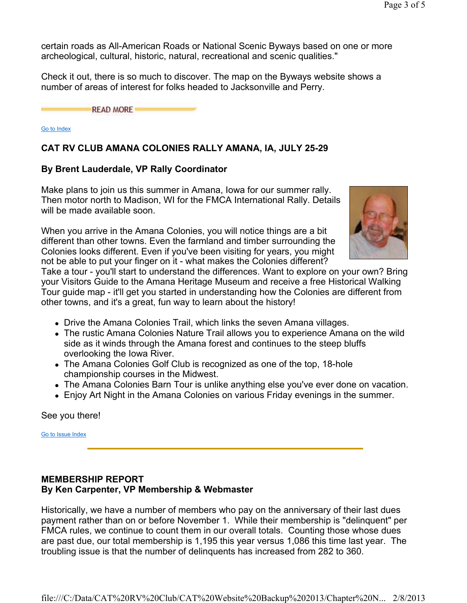certain roads as All-American Roads or National Scenic Byways based on one or more archeological, cultural, historic, natural, recreational and scenic qualities."

Check it out, there is so much to discover. The map on the Byways website shows a number of areas of interest for folks headed to Jacksonville and Perry.

**READ MORE** 

Go to Index

## **CAT RV CLUB AMANA COLONIES RALLY AMANA, IA, JULY 25-29**

#### **By Brent Lauderdale, VP Rally Coordinator**

Make plans to join us this summer in Amana, Iowa for our summer rally. Then motor north to Madison, WI for the FMCA International Rally. Details will be made available soon.

When you arrive in the Amana Colonies, you will notice things are a bit different than other towns. Even the farmland and timber surrounding the Colonies looks different. Even if you've been visiting for years, you might not be able to put your finger on it - what makes the Colonies different?



Take a tour - you'll start to understand the differences. Want to explore on your own? Bring your Visitors Guide to the Amana Heritage Museum and receive a free Historical Walking Tour guide map - it'll get you started in understanding how the Colonies are different from other towns, and it's a great, fun way to learn about the history!

- Drive the Amana Colonies Trail, which links the seven Amana villages.
- The rustic Amana Colonies Nature Trail allows you to experience Amana on the wild side as it winds through the Amana forest and continues to the steep bluffs overlooking the Iowa River.
- The Amana Colonies Golf Club is recognized as one of the top, 18-hole championship courses in the Midwest.
- The Amana Colonies Barn Tour is unlike anything else you've ever done on vacation.
- Enjoy Art Night in the Amana Colonies on various Friday evenings in the summer.

See you there!

Go to Issue Index

## **MEMBERSHIP REPORT By Ken Carpenter, VP Membership & Webmaster**

Historically, we have a number of members who pay on the anniversary of their last dues payment rather than on or before November 1. While their membership is "delinquent" per FMCA rules, we continue to count them in our overall totals. Counting those whose dues are past due, our total membership is 1,195 this year versus 1,086 this time last year. The troubling issue is that the number of delinquents has increased from 282 to 360.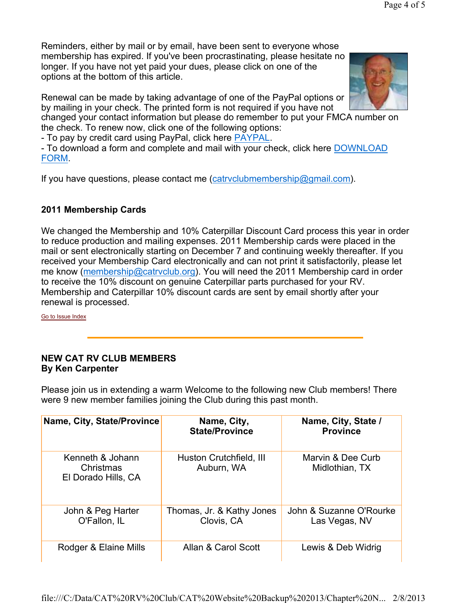Renewal can be made by taking advantage of one of the PayPal options or by mailing in your check. The printed form is not required if you have not

changed your contact information but please do remember to put your FMCA number on the check. To renew now, click one of the following options:

- To pay by credit card using PayPal, click here PAYPAL.

- To download a form and complete and mail with your check, click here DOWNLOAD FORM.

If you have questions, please contact me (catryclubmembership@gmail.com).

# **2011 Membership Cards**

We changed the Membership and 10% Caterpillar Discount Card process this year in order to reduce production and mailing expenses. 2011 Membership cards were placed in the mail or sent electronically starting on December 7 and continuing weekly thereafter. If you received your Membership Card electronically and can not print it satisfactorily, please let me know (membership@catrvclub.org). You will need the 2011 Membership card in order to receive the 10% discount on genuine Caterpillar parts purchased for your RV. Membership and Caterpillar 10% discount cards are sent by email shortly after your renewal is processed.

Go to Issue Index

# **NEW CAT RV CLUB MEMBERS By Ken Carpenter**

Please join us in extending a warm Welcome to the following new Club members! There were 9 new member families joining the Club during this past month.

| Name, City, State/Province                           | Name, City,<br><b>State/Province</b>    | Name, City, State /<br><b>Province</b>   |
|------------------------------------------------------|-----------------------------------------|------------------------------------------|
| Kenneth & Johann<br>Christmas<br>El Dorado Hills, CA | Huston Crutchfield, III<br>Auburn, WA   | Marvin & Dee Curb<br>Midlothian, TX      |
| John & Peg Harter<br>O'Fallon, IL                    | Thomas, Jr. & Kathy Jones<br>Clovis, CA | John & Suzanne O'Rourke<br>Las Vegas, NV |
| Rodger & Elaine Mills                                | Allan & Carol Scott                     | Lewis & Deb Widrig                       |